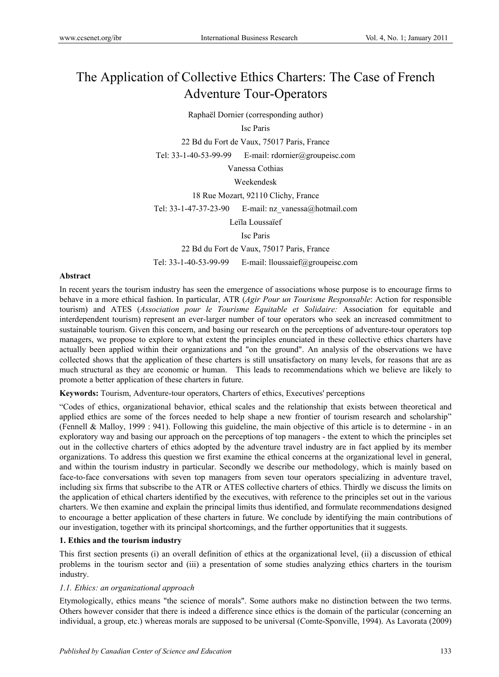# The Application of Collective Ethics Charters: The Case of French Adventure Tour-Operators

Raphaël Dornier (corresponding author)

#### Isc Paris

22 Bd du Fort de Vaux, 75017 Paris, France

Tel: 33-1-40-53-99-99 E-mail: rdornier@groupeisc.com

Vanessa Cothias

#### Weekendesk

18 Rue Mozart, 92110 Clichy, France

Tel: 33-1-47-37-23-90 E-mail: nz\_vanessa@hotmail.com

Leïla Loussaïef

Isc Paris

22 Bd du Fort de Vaux, 75017 Paris, France

Tel: 33-1-40-53-99-99 E-mail: lloussaief@groupeisc.com

#### **Abstract**

In recent years the tourism industry has seen the emergence of associations whose purpose is to encourage firms to behave in a more ethical fashion. In particular, ATR (*Agir Pour un Tourisme Responsable*: Action for responsible tourism) and ATES (*Association pour le Tourisme Equitable et Solidaire:* Association for equitable and interdependent tourism) represent an ever-larger number of tour operators who seek an increased commitment to sustainable tourism. Given this concern, and basing our research on the perceptions of adventure-tour operators top managers, we propose to explore to what extent the principles enunciated in these collective ethics charters have actually been applied within their organizations and "on the ground". An analysis of the observations we have collected shows that the application of these charters is still unsatisfactory on many levels, for reasons that are as much structural as they are economic or human. This leads to recommendations which we believe are likely to promote a better application of these charters in future.

**Keywords:** Tourism, Adventure-tour operators, Charters of ethics, Executives' perceptions

"Codes of ethics, organizational behavior, ethical scales and the relationship that exists between theoretical and applied ethics are some of the forces needed to help shape a new frontier of tourism research and scholarship" (Fennell & Malloy, 1999 : 941). Following this guideline, the main objective of this article is to determine - in an exploratory way and basing our approach on the perceptions of top managers - the extent to which the principles set out in the collective charters of ethics adopted by the adventure travel industry are in fact applied by its member organizations. To address this question we first examine the ethical concerns at the organizational level in general, and within the tourism industry in particular. Secondly we describe our methodology, which is mainly based on face-to-face conversations with seven top managers from seven tour operators specializing in adventure travel, including six firms that subscribe to the ATR or ATES collective charters of ethics. Thirdly we discuss the limits on the application of ethical charters identified by the executives, with reference to the principles set out in the various charters. We then examine and explain the principal limits thus identified, and formulate recommendations designed to encourage a better application of these charters in future. We conclude by identifying the main contributions of our investigation, together with its principal shortcomings, and the further opportunities that it suggests.

#### **1. Ethics and the tourism industry**

This first section presents (i) an overall definition of ethics at the organizational level, (ii) a discussion of ethical problems in the tourism sector and (iii) a presentation of some studies analyzing ethics charters in the tourism industry.

#### *1.1. Ethics: an organizational approach*

Etymologically, ethics means "the science of morals". Some authors make no distinction between the two terms. Others however consider that there is indeed a difference since ethics is the domain of the particular (concerning an individual, a group, etc.) whereas morals are supposed to be universal (Comte-Sponville, 1994). As Lavorata (2009)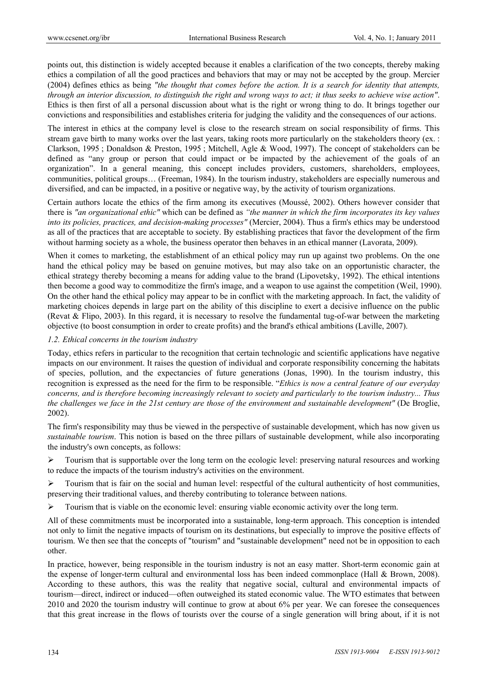points out, this distinction is widely accepted because it enables a clarification of the two concepts, thereby making ethics a compilation of all the good practices and behaviors that may or may not be accepted by the group. Mercier (2004) defines ethics as being *"the thought that comes before the action. It is a search for identity that attempts, through an interior discussion, to distinguish the right and wrong ways to act; it thus seeks to achieve wise action"*. Ethics is then first of all a personal discussion about what is the right or wrong thing to do. It brings together our convictions and responsibilities and establishes criteria for judging the validity and the consequences of our actions.

The interest in ethics at the company level is close to the research stream on social responsibility of firms. This stream gave birth to many works over the last years, taking roots more particularly on the stakeholders theory (ex. : Clarkson, 1995 ; Donaldson & Preston, 1995 ; Mitchell, Agle & Wood, 1997). The concept of stakeholders can be defined as "any group or person that could impact or be impacted by the achievement of the goals of an organization". In a general meaning, this concept includes providers, customers, shareholders, employees, communities, political groups… (Freeman, 1984). In the tourism industry, stakeholders are especially numerous and diversified, and can be impacted, in a positive or negative way, by the activity of tourism organizations.

Certain authors locate the ethics of the firm among its executives (Moussé, 2002). Others however consider that there is *"an organizational ethic"* which can be defined as *"the manner in which the firm incorporates its key values into its policies, practices, and decision-making processes"* (Mercier, 2004). Thus a firm's ethics may be understood as all of the practices that are acceptable to society. By establishing practices that favor the development of the firm without harming society as a whole, the business operator then behaves in an ethical manner (Lavorata, 2009).

When it comes to marketing, the establishment of an ethical policy may run up against two problems. On the one hand the ethical policy may be based on genuine motives, but may also take on an opportunistic character, the ethical strategy thereby becoming a means for adding value to the brand (Lipovetsky, 1992). The ethical intentions then become a good way to commoditize the firm's image, and a weapon to use against the competition (Weil, 1990). On the other hand the ethical policy may appear to be in conflict with the marketing approach. In fact, the validity of marketing choices depends in large part on the ability of this discipline to exert a decisive influence on the public (Revat & Flipo, 2003). In this regard, it is necessary to resolve the fundamental tug-of-war between the marketing objective (to boost consumption in order to create profits) and the brand's ethical ambitions (Laville, 2007).

#### *1.2. Ethical concerns in the tourism industry*

Today, ethics refers in particular to the recognition that certain technologic and scientific applications have negative impacts on our environment. It raises the question of individual and corporate responsibility concerning the habitats of species, pollution, and the expectancies of future generations (Jonas, 1990). In the tourism industry, this recognition is expressed as the need for the firm to be responsible. "*Ethics is now a central feature of our everyday concerns, and is therefore becoming increasingly relevant to society and particularly to the tourism industry... Thus the challenges we face in the 21st century are those of the environment and sustainable development"* (De Broglie, 2002).

The firm's responsibility may thus be viewed in the perspective of sustainable development, which has now given us *sustainable tourism*. This notion is based on the three pillars of sustainable development, while also incorporating the industry's own concepts, as follows:

 $\triangleright$  Tourism that is supportable over the long term on the ecologic level: preserving natural resources and working to reduce the impacts of the tourism industry's activities on the environment.

 $\triangleright$  Tourism that is fair on the social and human level: respectful of the cultural authenticity of host communities, preserving their traditional values, and thereby contributing to tolerance between nations.

 $\triangleright$  Tourism that is viable on the economic level: ensuring viable economic activity over the long term.

All of these commitments must be incorporated into a sustainable, long-term approach. This conception is intended not only to limit the negative impacts of tourism on its destinations, but especially to improve the positive effects of tourism. We then see that the concepts of "tourism" and "sustainable development" need not be in opposition to each other.

In practice, however, being responsible in the tourism industry is not an easy matter. Short-term economic gain at the expense of longer-term cultural and environmental loss has been indeed commonplace (Hall & Brown, 2008). According to these authors, this was the reality that negative social, cultural and environmental impacts of tourism—direct, indirect or induced—often outweighed its stated economic value. The WTO estimates that between 2010 and 2020 the tourism industry will continue to grow at about 6% per year. We can foresee the consequences that this great increase in the flows of tourists over the course of a single generation will bring about, if it is not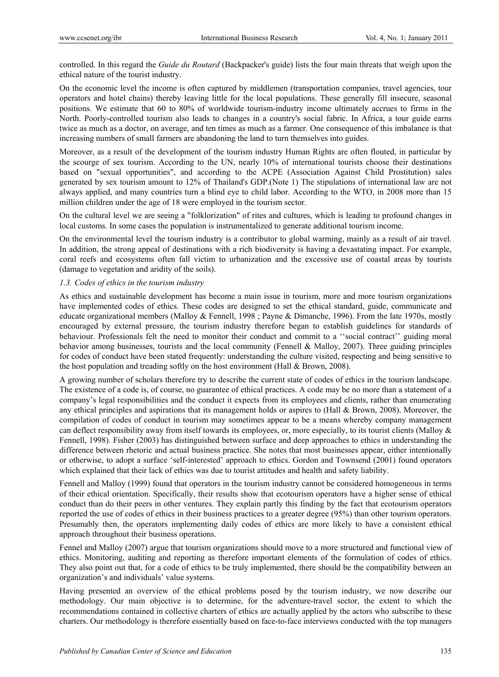controlled. In this regard the *Guide du Routard* (Backpacker's guide) lists the four main threats that weigh upon the ethical nature of the tourist industry.

On the economic level the income is often captured by middlemen (transportation companies, travel agencies, tour operators and hotel chains) thereby leaving little for the local populations. These generally fill insecure, seasonal positions. We estimate that 60 to 80% of worldwide tourism-industry income ultimately accrues to firms in the North. Poorly-controlled tourism also leads to changes in a country's social fabric. In Africa, a tour guide earns twice as much as a doctor, on average, and ten times as much as a farmer. One consequence of this imbalance is that increasing numbers of small farmers are abandoning the land to turn themselves into guides.

Moreover, as a result of the development of the tourism industry Human Rights are often flouted, in particular by the scourge of sex tourism. According to the UN, nearly 10% of international tourists choose their destinations based on "sexual opportunities", and according to the ACPE (Association Against Child Prostitution) sales generated by sex tourism amount to 12% of Thailand's GDP.(Note 1) The stipulations of international law are not always applied, and many countries turn a blind eye to child labor. According to the WTO, in 2008 more than 15 million children under the age of 18 were employed in the tourism sector.

On the cultural level we are seeing a "folklorization" of rites and cultures, which is leading to profound changes in local customs. In some cases the population is instrumentalized to generate additional tourism income.

On the environmental level the tourism industry is a contributor to global warming, mainly as a result of air travel. In addition, the strong appeal of destinations with a rich biodiversity is having a devastating impact. For example, coral reefs and ecosystems often fall victim to urbanization and the excessive use of coastal areas by tourists (damage to vegetation and aridity of the soils).

#### *1.3. Codes of ethics in the tourism industry*

As ethics and sustainable development has become a main issue in tourism, more and more tourism organizations have implemented codes of ethics. These codes are designed to set the ethical standard, guide, communicate and educate organizational members (Malloy & Fennell, 1998 ; Payne & Dimanche, 1996). From the late 1970s, mostly encouraged by external pressure, the tourism industry therefore began to establish guidelines for standards of behaviour. Professionals felt the need to monitor their conduct and commit to a ''social contract'' guiding moral behavior among businesses, tourists and the local community (Fennell & Malloy, 2007). Three guiding principles for codes of conduct have been stated frequently: understanding the culture visited, respecting and being sensitive to the host population and treading softly on the host environment (Hall & Brown, 2008).

A growing number of scholars therefore try to describe the current state of codes of ethics in the tourism landscape. The existence of a code is, of course, no guarantee of ethical practices. A code may be no more than a statement of a company's legal responsibilities and the conduct it expects from its employees and clients, rather than enumerating any ethical principles and aspirations that its management holds or aspires to (Hall & Brown, 2008). Moreover, the compilation of codes of conduct in tourism may sometimes appear to be a means whereby company management can deflect responsibility away from itself towards its employees, or, more especially, to its tourist clients (Malloy & Fennell, 1998). Fisher (2003) has distinguished between surface and deep approaches to ethics in understanding the difference between rhetoric and actual business practice. She notes that most businesses appear, either intentionally or otherwise, to adopt a surface 'self-interested' approach to ethics. Gordon and Townsend (2001) found operators which explained that their lack of ethics was due to tourist attitudes and health and safety liability.

Fennell and Malloy (1999) found that operators in the tourism industry cannot be considered homogeneous in terms of their ethical orientation. Specifically, their results show that ecotourism operators have a higher sense of ethical conduct than do their peers in other ventures. They explain partly this finding by the fact that ecotourism operators reported the use of codes of ethics in their business practices to a greater degree (95%) than other tourism operators. Presumably then, the operators implementing daily codes of ethics are more likely to have a consistent ethical approach throughout their business operations.

Fennel and Malloy (2007) argue that tourism organizations should move to a more structured and functional view of ethics. Monitoring, auditing and reporting as therefore important elements of the formulation of codes of ethics. They also point out that, for a code of ethics to be truly implemented, there should be the compatibility between an organization's and individuals' value systems.

Having presented an overview of the ethical problems posed by the tourism industry, we now describe our methodology. Our main objective is to determine, for the adventure-travel sector, the extent to which the recommendations contained in collective charters of ethics are actually applied by the actors who subscribe to these charters. Our methodology is therefore essentially based on face-to-face interviews conducted with the top managers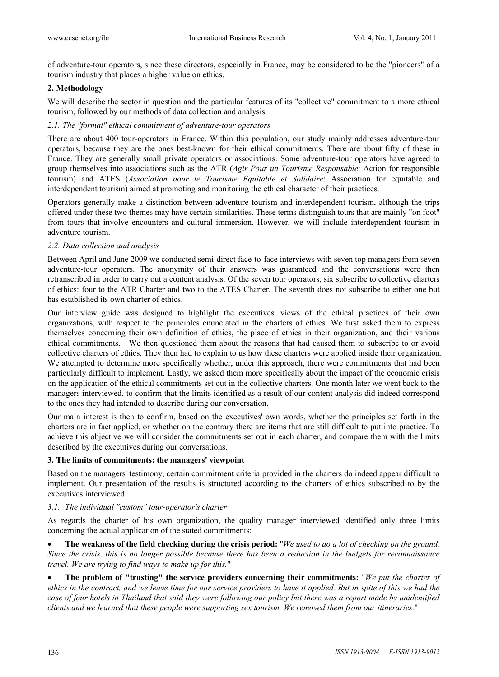of adventure-tour operators, since these directors, especially in France, may be considered to be the "pioneers" of a tourism industry that places a higher value on ethics.

### **2. Methodology**

We will describe the sector in question and the particular features of its "collective" commitment to a more ethical tourism, followed by our methods of data collection and analysis.

### *2.1. The "formal" ethical commitment of adventure-tour operators*

There are about 400 tour-operators in France. Within this population, our study mainly addresses adventure-tour operators, because they are the ones best-known for their ethical commitments. There are about fifty of these in France. They are generally small private operators or associations. Some adventure-tour operators have agreed to group themselves into associations such as the ATR (*Agir Pour un Tourisme Responsable*: Action for responsible tourism) and ATES (*Association pour le Tourisme Equitable et Solidaire*: Association for equitable and interdependent tourism) aimed at promoting and monitoring the ethical character of their practices.

Operators generally make a distinction between adventure tourism and interdependent tourism, although the trips offered under these two themes may have certain similarities. These terms distinguish tours that are mainly "on foot" from tours that involve encounters and cultural immersion. However, we will include interdependent tourism in adventure tourism.

# *2.2. Data collection and analysis*

Between April and June 2009 we conducted semi-direct face-to-face interviews with seven top managers from seven adventure-tour operators. The anonymity of their answers was guaranteed and the conversations were then retranscribed in order to carry out a content analysis. Of the seven tour operators, six subscribe to collective charters of ethics: four to the ATR Charter and two to the ATES Charter. The seventh does not subscribe to either one but has established its own charter of ethics.

Our interview guide was designed to highlight the executives' views of the ethical practices of their own organizations, with respect to the principles enunciated in the charters of ethics. We first asked them to express themselves concerning their own definition of ethics, the place of ethics in their organization, and their various ethical commitments. We then questioned them about the reasons that had caused them to subscribe to or avoid collective charters of ethics. They then had to explain to us how these charters were applied inside their organization. We attempted to determine more specifically whether, under this approach, there were commitments that had been particularly difficult to implement. Lastly, we asked them more specifically about the impact of the economic crisis on the application of the ethical commitments set out in the collective charters. One month later we went back to the managers interviewed, to confirm that the limits identified as a result of our content analysis did indeed correspond to the ones they had intended to describe during our conversation.

Our main interest is then to confirm, based on the executives' own words, whether the principles set forth in the charters are in fact applied, or whether on the contrary there are items that are still difficult to put into practice. To achieve this objective we will consider the commitments set out in each charter, and compare them with the limits described by the executives during our conversations.

#### **3. The limits of commitments: the managers' viewpoint**

Based on the managers' testimony, certain commitment criteria provided in the charters do indeed appear difficult to implement. Our presentation of the results is structured according to the charters of ethics subscribed to by the executives interviewed.

#### *3.1. The individual "custom" tour-operator's charter*

As regards the charter of his own organization, the quality manager interviewed identified only three limits concerning the actual application of the stated commitments:

 **The weakness of the field checking during the crisis period:** "*We used to do a lot of checking on the ground. Since the crisis, this is no longer possible because there has been a reduction in the budgets for reconnaissance travel. We are trying to find ways to make up for this.*"

 **The problem of "trusting" the service providers concerning their commitments:** "*We put the charter of ethics in the contract, and we leave time for our service providers to have it applied. But in spite of this we had the case of four hotels in Thailand that said they were following our policy but there was a report made by unidentified clients and we learned that these people were supporting sex tourism. We removed them from our itineraries.*"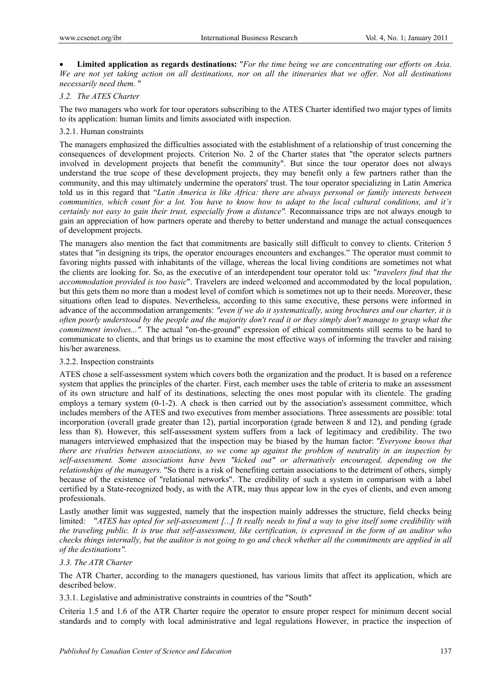**Limited application as regards destinations:** "*For the time being we are concentrating our efforts on Asia. We are not yet taking action on all destinations, nor on all the itineraries that we offer. Not all destinations necessarily need them.* "

### *3.2. The ATES Charter*

The two managers who work for tour operators subscribing to the ATES Charter identified two major types of limits to its application: human limits and limits associated with inspection.

# 3.2.1. Human constraints

The managers emphasized the difficulties associated with the establishment of a relationship of trust concerning the consequences of development projects. Criterion No. 2 of the Charter states that "the operator selects partners involved in development projects that benefit the community". But since the tour operator does not always understand the true scope of these development projects, they may benefit only a few partners rather than the community, and this may ultimately undermine the operators' trust. The tour operator specializing in Latin America told us in this regard that "*Latin America is like Africa: there are always personal or family interests between communities, which count for a lot. You have to know how to adapt to the local cultural conditions, and it's certainly not easy to gain their trust, especially from a distance".* Reconnaissance trips are not always enough to gain an appreciation of how partners operate and thereby to better understand and manage the actual consequences of development projects.

The managers also mention the fact that commitments are basically still difficult to convey to clients. Criterion 5 states that "in designing its trips, the operator encourages encounters and exchanges." The operator must commit to favoring nights passed with inhabitants of the village, whereas the local living conditions are sometimes not what the clients are looking for. So, as the executive of an interdependent tour operator told us: "*travelers find that the accommodation provided is too basic*". Travelers are indeed welcomed and accommodated by the local population, but this gets them no more than a modest level of comfort which is sometimes not up to their needs. Moreover, these situations often lead to disputes. Nevertheless, according to this same executive, these persons were informed in advance of the accommodation arrangements: *"even if we do it systematically, using brochures and our charter, it is often poorly understood by the people and the majority don't read it or they simply don't manage to grasp what the commitment involves...".* The actual "on-the-ground" expression of ethical commitments still seems to be hard to communicate to clients, and that brings us to examine the most effective ways of informing the traveler and raising his/her awareness.

#### 3.2.2. Inspection constraints

ATES chose a self-assessment system which covers both the organization and the product. It is based on a reference system that applies the principles of the charter. First, each member uses the table of criteria to make an assessment of its own structure and half of its destinations, selecting the ones most popular with its clientele. The grading employs a ternary system (0-1-2). A check is then carried out by the association's assessment committee, which includes members of the ATES and two executives from member associations. Three assessments are possible: total incorporation (overall grade greater than 12), partial incorporation (grade between 8 and 12), and pending (grade less than 8). However, this self-assessment system suffers from a lack of legitimacy and credibility. The two managers interviewed emphasized that the inspection may be biased by the human factor: *"Everyone knows that there are rivalries between associations, so we come up against the problem of neutrality in an inspection by self-assessment. Some associations have been "kicked out" or alternatively encouraged, depending on the relationships of the managers.* "So there is a risk of benefiting certain associations to the detriment of others, simply because of the existence of "relational networks". The credibility of such a system in comparison with a label certified by a State-recognized body, as with the ATR, may thus appear low in the eyes of clients, and even among professionals.

Lastly another limit was suggested, namely that the inspection mainly addresses the structure, field checks being limited: "*ATES has opted for self-assessment [...] It really needs to find a way to give itself some credibility with the traveling public. It is true that self-assessment, like certification, is expressed in the form of an auditor who checks things internally, but the auditor is not going to go and check whether all the commitments are applied in all of the destinations".*

#### *3.3. The ATR Charter*

The ATR Charter, according to the managers questioned, has various limits that affect its application, which are described below.

3.3.1. Legislative and administrative constraints in countries of the "South"

Criteria 1.5 and 1.6 of the ATR Charter require the operator to ensure proper respect for minimum decent social standards and to comply with local administrative and legal regulations However, in practice the inspection of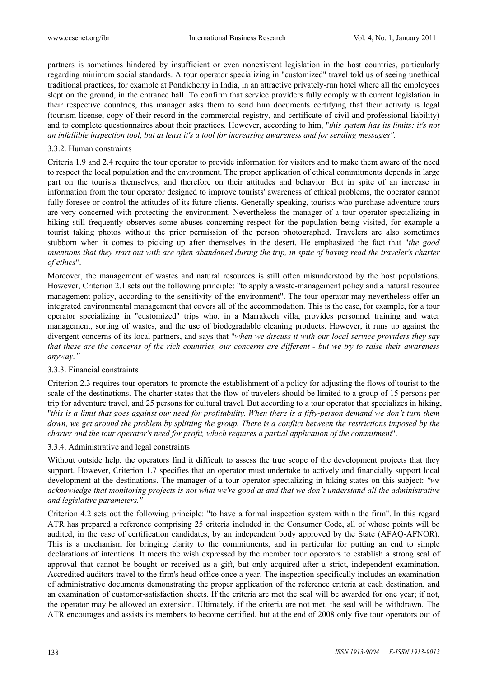partners is sometimes hindered by insufficient or even nonexistent legislation in the host countries, particularly regarding minimum social standards. A tour operator specializing in "customized" travel told us of seeing unethical traditional practices, for example at Pondicherry in India, in an attractive privately-run hotel where all the employees slept on the ground, in the entrance hall. To confirm that service providers fully comply with current legislation in their respective countries, this manager asks them to send him documents certifying that their activity is legal (tourism license, copy of their record in the commercial registry, and certificate of civil and professional liability) and to complete questionnaires about their practices. However, according to him, "*this system has its limits: it's not an infallible inspection tool, but at least it's a tool for increasing awareness and for sending messages".*

#### 3.3.2. Human constraints

Criteria 1.9 and 2.4 require the tour operator to provide information for visitors and to make them aware of the need to respect the local population and the environment. The proper application of ethical commitments depends in large part on the tourists themselves, and therefore on their attitudes and behavior. But in spite of an increase in information from the tour operator designed to improve tourists' awareness of ethical problems, the operator cannot fully foresee or control the attitudes of its future clients. Generally speaking, tourists who purchase adventure tours are very concerned with protecting the environment. Nevertheless the manager of a tour operator specializing in hiking still frequently observes some abuses concerning respect for the population being visited, for example a tourist taking photos without the prior permission of the person photographed. Travelers are also sometimes stubborn when it comes to picking up after themselves in the desert. He emphasized the fact that "*the good intentions that they start out with are often abandoned during the trip, in spite of having read the traveler's charter of ethics*".

Moreover, the management of wastes and natural resources is still often misunderstood by the host populations. However, Criterion 2.1 sets out the following principle: "to apply a waste-management policy and a natural resource management policy, according to the sensitivity of the environment". The tour operator may nevertheless offer an integrated environmental management that covers all of the accommodation. This is the case, for example, for a tour operator specializing in "customized" trips who, in a Marrakech villa, provides personnel training and water management, sorting of wastes, and the use of biodegradable cleaning products. However, it runs up against the divergent concerns of its local partners, and says that "*when we discuss it with our local service providers they say that these are the concerns of the rich countries, our concerns are different - but we try to raise their awareness anyway."*

#### 3.3.3. Financial constraints

Criterion 2.3 requires tour operators to promote the establishment of a policy for adjusting the flows of tourist to the scale of the destinations. The charter states that the flow of travelers should be limited to a group of 15 persons per trip for adventure travel, and 25 persons for cultural travel. But according to a tour operator that specializes in hiking, "*this is a limit that goes against our need for profitability. When there is a fifty-person demand we don't turn them down, we get around the problem by splitting the group. There is a conflict between the restrictions imposed by the charter and the tour operator's need for profit, which requires a partial application of the commitment*".

#### 3.3.4. Administrative and legal constraints

Without outside help, the operators find it difficult to assess the true scope of the development projects that they support. However, Criterion 1.7 specifies that an operator must undertake to actively and financially support local development at the destinations. The manager of a tour operator specializing in hiking states on this subject: *"we acknowledge that monitoring projects is not what we're good at and that we don't understand all the administrative and legislative parameters."*

Criterion 4.2 sets out the following principle: "to have a formal inspection system within the firm". In this regard ATR has prepared a reference comprising 25 criteria included in the Consumer Code, all of whose points will be audited, in the case of certification candidates, by an independent body approved by the State (AFAQ-AFNOR). This is a mechanism for bringing clarity to the commitments, and in particular for putting an end to simple declarations of intentions. It meets the wish expressed by the member tour operators to establish a strong seal of approval that cannot be bought or received as a gift, but only acquired after a strict, independent examination. Accredited auditors travel to the firm's head office once a year. The inspection specifically includes an examination of administrative documents demonstrating the proper application of the reference criteria at each destination, and an examination of customer-satisfaction sheets. If the criteria are met the seal will be awarded for one year; if not, the operator may be allowed an extension. Ultimately, if the criteria are not met, the seal will be withdrawn. The ATR encourages and assists its members to become certified, but at the end of 2008 only five tour operators out of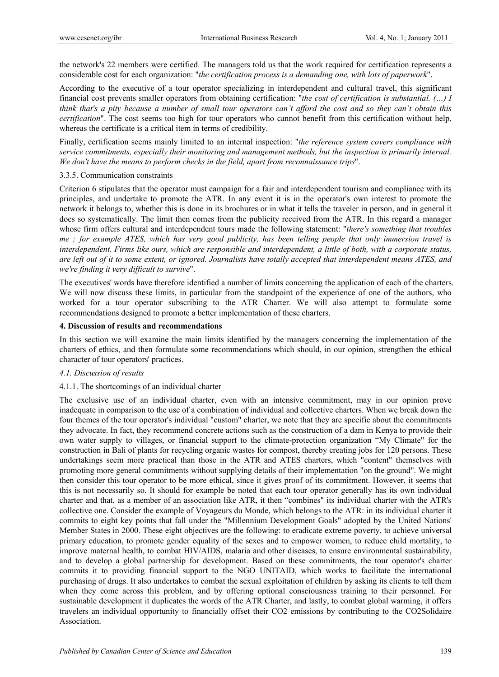the network's 22 members were certified. The managers told us that the work required for certification represents a considerable cost for each organization: "*the certification process is a demanding one, with lots of paperwork*".

According to the executive of a tour operator specializing in interdependent and cultural travel, this significant financial cost prevents smaller operators from obtaining certification: "*the cost of certification is substantial. (…) I think that's a pity because a number of small tour operators can't afford the cost and so they can't obtain this certification*". The cost seems too high for tour operators who cannot benefit from this certification without help, whereas the certificate is a critical item in terms of credibility.

Finally, certification seems mainly limited to an internal inspection: "*the reference system covers compliance with service commitments, especially their monitoring and management methods, but the inspection is primarily internal. We don't have the means to perform checks in the field, apart from reconnaissance trips*".

#### 3.3.5. Communication constraints

Criterion 6 stipulates that the operator must campaign for a fair and interdependent tourism and compliance with its principles, and undertake to promote the ATR. In any event it is in the operator's own interest to promote the network it belongs to, whether this is done in its brochures or in what it tells the traveler in person, and in general it does so systematically. The limit then comes from the publicity received from the ATR. In this regard a manager whose firm offers cultural and interdependent tours made the following statement: "*there's something that troubles me ; for example ATES, which has very good publicity, has been telling people that only immersion travel is interdependent. Firms like ours, which are responsible and interdependent, a little of both, with a corporate status, are left out of it to some extent, or ignored. Journalists have totally accepted that interdependent means ATES, and we're finding it very difficult to survive*".

The executives' words have therefore identified a number of limits concerning the application of each of the charters. We will now discuss these limits, in particular from the standpoint of the experience of one of the authors, who worked for a tour operator subscribing to the ATR Charter. We will also attempt to formulate some recommendations designed to promote a better implementation of these charters.

#### **4. Discussion of results and recommendations**

In this section we will examine the main limits identified by the managers concerning the implementation of the charters of ethics, and then formulate some recommendations which should, in our opinion, strengthen the ethical character of tour operators' practices.

#### *4.1. Discussion of results*

#### 4.1.1. The shortcomings of an individual charter

The exclusive use of an individual charter, even with an intensive commitment, may in our opinion prove inadequate in comparison to the use of a combination of individual and collective charters. When we break down the four themes of the tour operator's individual "custom" charter, we note that they are specific about the commitments they advocate. In fact, they recommend concrete actions such as the construction of a dam in Kenya to provide their own water supply to villages, or financial support to the climate-protection organization "My Climate" for the construction in Bali of plants for recycling organic wastes for compost, thereby creating jobs for 120 persons. These undertakings seem more practical than those in the ATR and ATES charters, which "content" themselves with promoting more general commitments without supplying details of their implementation "on the ground". We might then consider this tour operator to be more ethical, since it gives proof of its commitment. However, it seems that this is not necessarily so. It should for example be noted that each tour operator generally has its own individual charter and that, as a member of an association like ATR, it then "combines" its individual charter with the ATR's collective one. Consider the example of Voyageurs du Monde, which belongs to the ATR: in its individual charter it commits to eight key points that fall under the "Millennium Development Goals" adopted by the United Nations' Member States in 2000. These eight objectives are the following: to eradicate extreme poverty, to achieve universal primary education, to promote gender equality of the sexes and to empower women, to reduce child mortality, to improve maternal health, to combat HIV/AIDS, malaria and other diseases, to ensure environmental sustainability, and to develop a global partnership for development. Based on these commitments, the tour operator's charter commits it to providing financial support to the NGO UNITAID, which works to facilitate the international purchasing of drugs. It also undertakes to combat the sexual exploitation of children by asking its clients to tell them when they come across this problem, and by offering optional consciousness training to their personnel. For sustainable development it duplicates the words of the ATR Charter, and lastly, to combat global warming, it offers travelers an individual opportunity to financially offset their CO2 emissions by contributing to the CO2Solidaire Association.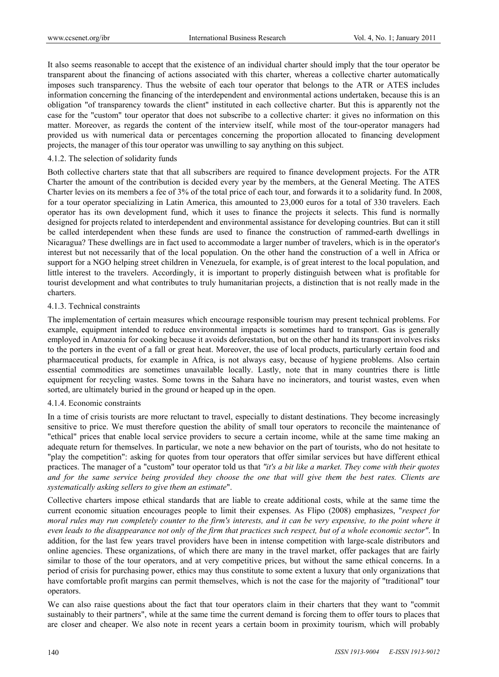It also seems reasonable to accept that the existence of an individual charter should imply that the tour operator be transparent about the financing of actions associated with this charter, whereas a collective charter automatically imposes such transparency. Thus the website of each tour operator that belongs to the ATR or ATES includes information concerning the financing of the interdependent and environmental actions undertaken, because this is an obligation "of transparency towards the client" instituted in each collective charter. But this is apparently not the case for the "custom" tour operator that does not subscribe to a collective charter: it gives no information on this matter. Moreover, as regards the content of the interview itself, while most of the tour-operator managers had provided us with numerical data or percentages concerning the proportion allocated to financing development projects, the manager of this tour operator was unwilling to say anything on this subject.

#### 4.1.2. The selection of solidarity funds

Both collective charters state that that all subscribers are required to finance development projects. For the ATR Charter the amount of the contribution is decided every year by the members, at the General Meeting. The ATES Charter levies on its members a fee of 3% of the total price of each tour, and forwards it to a solidarity fund. In 2008, for a tour operator specializing in Latin America, this amounted to 23,000 euros for a total of 330 travelers. Each operator has its own development fund, which it uses to finance the projects it selects. This fund is normally designed for projects related to interdependent and environmental assistance for developing countries. But can it still be called interdependent when these funds are used to finance the construction of rammed-earth dwellings in Nicaragua? These dwellings are in fact used to accommodate a larger number of travelers, which is in the operator's interest but not necessarily that of the local population. On the other hand the construction of a well in Africa or support for a NGO helping street children in Venezuela, for example, is of great interest to the local population, and little interest to the travelers. Accordingly, it is important to properly distinguish between what is profitable for tourist development and what contributes to truly humanitarian projects, a distinction that is not really made in the charters.

#### 4.1.3. Technical constraints

The implementation of certain measures which encourage responsible tourism may present technical problems. For example, equipment intended to reduce environmental impacts is sometimes hard to transport. Gas is generally employed in Amazonia for cooking because it avoids deforestation, but on the other hand its transport involves risks to the porters in the event of a fall or great heat. Moreover, the use of local products, particularly certain food and pharmaceutical products, for example in Africa, is not always easy, because of hygiene problems. Also certain essential commodities are sometimes unavailable locally. Lastly, note that in many countries there is little equipment for recycling wastes. Some towns in the Sahara have no incinerators, and tourist wastes, even when sorted, are ultimately buried in the ground or heaped up in the open.

#### 4.1.4. Economic constraints

In a time of crisis tourists are more reluctant to travel, especially to distant destinations. They become increasingly sensitive to price. We must therefore question the ability of small tour operators to reconcile the maintenance of "ethical" prices that enable local service providers to secure a certain income, while at the same time making an adequate return for themselves. In particular, we note a new behavior on the part of tourists, who do not hesitate to "play the competition": asking for quotes from tour operators that offer similar services but have different ethical practices. The manager of a "custom" tour operator told us that *"it's a bit like a market. They come with their quotes and for the same service being provided they choose the one that will give them the best rates. Clients are systematically asking sellers to give them an estimate*".

Collective charters impose ethical standards that are liable to create additional costs, while at the same time the current economic situation encourages people to limit their expenses. As Flipo (2008) emphasizes, "*respect for moral rules may run completely counter to the firm's interests, and it can be very expensive, to the point where it even leads to the disappearance not only of the firm that practices such respect, but of a whole economic sector"*. In addition, for the last few years travel providers have been in intense competition with large-scale distributors and online agencies. These organizations, of which there are many in the travel market, offer packages that are fairly similar to those of the tour operators, and at very competitive prices, but without the same ethical concerns. In a period of crisis for purchasing power, ethics may thus constitute to some extent a luxury that only organizations that have comfortable profit margins can permit themselves, which is not the case for the majority of "traditional" tour operators.

We can also raise questions about the fact that tour operators claim in their charters that they want to "commit sustainably to their partners", while at the same time the current demand is forcing them to offer tours to places that are closer and cheaper. We also note in recent years a certain boom in proximity tourism, which will probably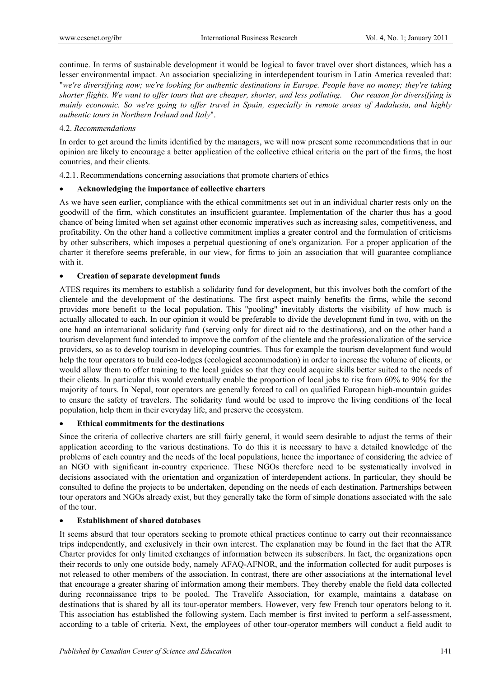continue. In terms of sustainable development it would be logical to favor travel over short distances, which has a lesser environmental impact. An association specializing in interdependent tourism in Latin America revealed that: "*we're diversifying now; we're looking for authentic destinations in Europe. People have no money; they're taking shorter flights. We want to offer tours that are cheaper, shorter, and less polluting. Our reason for diversifying is mainly economic. So we're going to offer travel in Spain, especially in remote areas of Andalusia, and highly authentic tours in Northern Ireland and Italy*".

# 4.2. *Recommendations*

In order to get around the limits identified by the managers, we will now present some recommendations that in our opinion are likely to encourage a better application of the collective ethical criteria on the part of the firms, the host countries, and their clients.

4.2.1. Recommendations concerning associations that promote charters of ethics

# **Acknowledging the importance of collective charters**

As we have seen earlier, compliance with the ethical commitments set out in an individual charter rests only on the goodwill of the firm, which constitutes an insufficient guarantee. Implementation of the charter thus has a good chance of being limited when set against other economic imperatives such as increasing sales, competitiveness, and profitability. On the other hand a collective commitment implies a greater control and the formulation of criticisms by other subscribers, which imposes a perpetual questioning of one's organization. For a proper application of the charter it therefore seems preferable, in our view, for firms to join an association that will guarantee compliance with it.

# **Creation of separate development funds**

ATES requires its members to establish a solidarity fund for development, but this involves both the comfort of the clientele and the development of the destinations. The first aspect mainly benefits the firms, while the second provides more benefit to the local population. This "pooling" inevitably distorts the visibility of how much is actually allocated to each. In our opinion it would be preferable to divide the development fund in two, with on the one hand an international solidarity fund (serving only for direct aid to the destinations), and on the other hand a tourism development fund intended to improve the comfort of the clientele and the professionalization of the service providers, so as to develop tourism in developing countries. Thus for example the tourism development fund would help the tour operators to build eco-lodges (ecological accommodation) in order to increase the volume of clients, or would allow them to offer training to the local guides so that they could acquire skills better suited to the needs of their clients. In particular this would eventually enable the proportion of local jobs to rise from 60% to 90% for the majority of tours. In Nepal, tour operators are generally forced to call on qualified European high-mountain guides to ensure the safety of travelers. The solidarity fund would be used to improve the living conditions of the local population, help them in their everyday life, and preserve the ecosystem.

#### **Ethical commitments for the destinations**

Since the criteria of collective charters are still fairly general, it would seem desirable to adjust the terms of their application according to the various destinations. To do this it is necessary to have a detailed knowledge of the problems of each country and the needs of the local populations, hence the importance of considering the advice of an NGO with significant in-country experience. These NGOs therefore need to be systematically involved in decisions associated with the orientation and organization of interdependent actions. In particular, they should be consulted to define the projects to be undertaken, depending on the needs of each destination. Partnerships between tour operators and NGOs already exist, but they generally take the form of simple donations associated with the sale of the tour.

#### **Establishment of shared databases**

It seems absurd that tour operators seeking to promote ethical practices continue to carry out their reconnaissance trips independently, and exclusively in their own interest. The explanation may be found in the fact that the ATR Charter provides for only limited exchanges of information between its subscribers. In fact, the organizations open their records to only one outside body, namely AFAQ-AFNOR, and the information collected for audit purposes is not released to other members of the association. In contrast, there are other associations at the international level that encourage a greater sharing of information among their members. They thereby enable the field data collected during reconnaissance trips to be pooled. The Travelife Association, for example, maintains a database on destinations that is shared by all its tour-operator members. However, very few French tour operators belong to it. This association has established the following system. Each member is first invited to perform a self-assessment, according to a table of criteria. Next, the employees of other tour-operator members will conduct a field audit to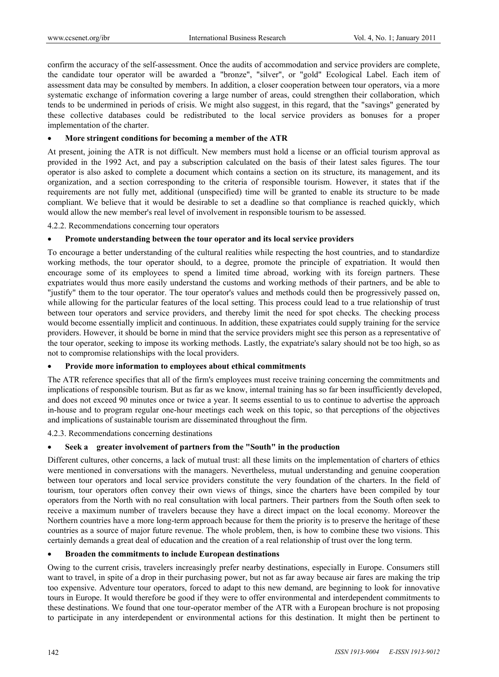confirm the accuracy of the self-assessment. Once the audits of accommodation and service providers are complete, the candidate tour operator will be awarded a "bronze", "silver", or "gold" Ecological Label. Each item of assessment data may be consulted by members. In addition, a closer cooperation between tour operators, via a more systematic exchange of information covering a large number of areas, could strengthen their collaboration, which tends to be undermined in periods of crisis. We might also suggest, in this regard, that the "savings" generated by these collective databases could be redistributed to the local service providers as bonuses for a proper implementation of the charter.

#### **More stringent conditions for becoming a member of the ATR**

At present, joining the ATR is not difficult. New members must hold a license or an official tourism approval as provided in the 1992 Act, and pay a subscription calculated on the basis of their latest sales figures. The tour operator is also asked to complete a document which contains a section on its structure, its management, and its organization, and a section corresponding to the criteria of responsible tourism. However, it states that if the requirements are not fully met, additional (unspecified) time will be granted to enable its structure to be made compliant. We believe that it would be desirable to set a deadline so that compliance is reached quickly, which would allow the new member's real level of involvement in responsible tourism to be assessed.

4.2.2. Recommendations concerning tour operators

#### **Promote understanding between the tour operator and its local service providers**

To encourage a better understanding of the cultural realities while respecting the host countries, and to standardize working methods, the tour operator should, to a degree, promote the principle of expatriation. It would then encourage some of its employees to spend a limited time abroad, working with its foreign partners. These expatriates would thus more easily understand the customs and working methods of their partners, and be able to "justify" them to the tour operator. The tour operator's values and methods could then be progressively passed on, while allowing for the particular features of the local setting. This process could lead to a true relationship of trust between tour operators and service providers, and thereby limit the need for spot checks. The checking process would become essentially implicit and continuous. In addition, these expatriates could supply training for the service providers. However, it should be borne in mind that the service providers might see this person as a representative of the tour operator, seeking to impose its working methods. Lastly, the expatriate's salary should not be too high, so as not to compromise relationships with the local providers.

#### **Provide more information to employees about ethical commitments**

The ATR reference specifies that all of the firm's employees must receive training concerning the commitments and implications of responsible tourism. But as far as we know, internal training has so far been insufficiently developed, and does not exceed 90 minutes once or twice a year. It seems essential to us to continue to advertise the approach in-house and to program regular one-hour meetings each week on this topic, so that perceptions of the objectives and implications of sustainable tourism are disseminated throughout the firm.

4.2.3. Recommendations concerning destinations

# **Seek a greater involvement of partners from the "South" in the production**

Different cultures, other concerns, a lack of mutual trust: all these limits on the implementation of charters of ethics were mentioned in conversations with the managers. Nevertheless, mutual understanding and genuine cooperation between tour operators and local service providers constitute the very foundation of the charters. In the field of tourism, tour operators often convey their own views of things, since the charters have been compiled by tour operators from the North with no real consultation with local partners. Their partners from the South often seek to receive a maximum number of travelers because they have a direct impact on the local economy. Moreover the Northern countries have a more long-term approach because for them the priority is to preserve the heritage of these countries as a source of major future revenue. The whole problem, then, is how to combine these two visions. This certainly demands a great deal of education and the creation of a real relationship of trust over the long term.

# **Broaden the commitments to include European destinations**

Owing to the current crisis, travelers increasingly prefer nearby destinations, especially in Europe. Consumers still want to travel, in spite of a drop in their purchasing power, but not as far away because air fares are making the trip too expensive. Adventure tour operators, forced to adapt to this new demand, are beginning to look for innovative tours in Europe. It would therefore be good if they were to offer environmental and interdependent commitments to these destinations. We found that one tour-operator member of the ATR with a European brochure is not proposing to participate in any interdependent or environmental actions for this destination. It might then be pertinent to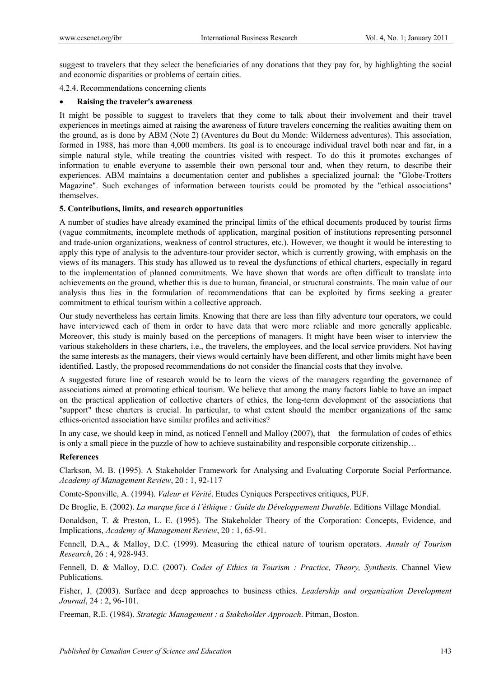suggest to travelers that they select the beneficiaries of any donations that they pay for, by highlighting the social and economic disparities or problems of certain cities.

4.2.4. Recommendations concerning clients

#### **Raising the traveler's awareness**

It might be possible to suggest to travelers that they come to talk about their involvement and their travel experiences in meetings aimed at raising the awareness of future travelers concerning the realities awaiting them on the ground, as is done by ABM (Note 2) (Aventures du Bout du Monde: Wilderness adventures). This association, formed in 1988, has more than 4,000 members. Its goal is to encourage individual travel both near and far, in a simple natural style, while treating the countries visited with respect. To do this it promotes exchanges of information to enable everyone to assemble their own personal tour and, when they return, to describe their experiences. ABM maintains a documentation center and publishes a specialized journal: the "Globe-Trotters Magazine". Such exchanges of information between tourists could be promoted by the "ethical associations" themselves.

# **5. Contributions, limits, and research opportunities**

A number of studies have already examined the principal limits of the ethical documents produced by tourist firms (vague commitments, incomplete methods of application, marginal position of institutions representing personnel and trade-union organizations, weakness of control structures, etc.). However, we thought it would be interesting to apply this type of analysis to the adventure-tour provider sector, which is currently growing, with emphasis on the views of its managers. This study has allowed us to reveal the dysfunctions of ethical charters, especially in regard to the implementation of planned commitments. We have shown that words are often difficult to translate into achievements on the ground, whether this is due to human, financial, or structural constraints. The main value of our analysis thus lies in the formulation of recommendations that can be exploited by firms seeking a greater commitment to ethical tourism within a collective approach.

Our study nevertheless has certain limits. Knowing that there are less than fifty adventure tour operators, we could have interviewed each of them in order to have data that were more reliable and more generally applicable. Moreover, this study is mainly based on the perceptions of managers. It might have been wiser to interview the various stakeholders in these charters, i.e., the travelers, the employees, and the local service providers. Not having the same interests as the managers, their views would certainly have been different, and other limits might have been identified. Lastly, the proposed recommendations do not consider the financial costs that they involve.

A suggested future line of research would be to learn the views of the managers regarding the governance of associations aimed at promoting ethical tourism. We believe that among the many factors liable to have an impact on the practical application of collective charters of ethics, the long-term development of the associations that "support" these charters is crucial. In particular, to what extent should the member organizations of the same ethics-oriented association have similar profiles and activities?

In any case, we should keep in mind, as noticed Fennell and Malloy (2007), that the formulation of codes of ethics is only a small piece in the puzzle of how to achieve sustainability and responsible corporate citizenship…

# **References**

Clarkson, M. B. (1995). A Stakeholder Framework for Analysing and Evaluating Corporate Social Performance. *Academy of Management Review*, 20 : 1, 92-117

Comte-Sponville, A. (1994). *Valeur et Vérité*. Etudes Cyniques Perspectives critiques, PUF.

De Broglie, E. (2002). *La marque face à l'éthique : Guide du Développement Durable*. Editions Village Mondial.

Donaldson, T. & Preston, L. E. (1995). The Stakeholder Theory of the Corporation: Concepts, Evidence, and Implications, *Academy of Management Review*, 20 : 1, 65-91.

Fennell, D.A., & Malloy, D.C. (1999). Measuring the ethical nature of tourism operators. *Annals of Tourism Research*, 26 : 4, 928-943.

Fennell, D. & Malloy, D.C. (2007). *Codes of Ethics in Tourism : Practice, Theory, Synthesis*. Channel View Publications.

Fisher, J. (2003). Surface and deep approaches to business ethics. *Leadership and organization Development Journal*, 24 : 2, 96-101.

Freeman, R.E. (1984). *Strategic Management : a Stakeholder Approach*. Pitman, Boston.